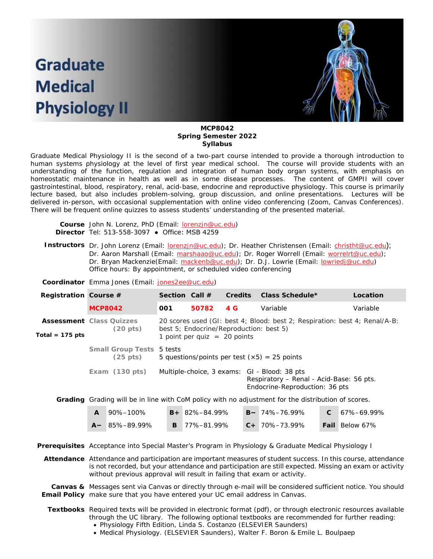# **Graduate Medical Physiology II**



#### **MCP8042 Spring Semester 2022 Syllabus**

Graduate Medical Physiology II is the second of a two-part course intended to provide a thorough introduction to human systems physiology at the level of first year medical school. The course will provide students with an understanding of the function, regulation and integration of human body organ systems, with emphasis on homeostatic maintenance in health as well as in some disease processes. The content of GMPII will cover gastrointestinal, blood, respiratory, renal, acid-base, endocrine and reproductive physiology. This course is primarily lecture based, but also includes problem-solving, group discussion, and online presentations. Lectures will be delivered in-person, with occasional supplementation with online video conferencing (Zoom, Canvas Conferences). There will be frequent online quizzes to assess students' understanding of the presented material.

| <b>Course</b> John N. Lorenz, PhD (Email: <b>lorenzin@uc.edu)</b> |
|-------------------------------------------------------------------|
| <b>Director</b> Tel: $513-558-3097$ • Office: MSB 4259            |

- Instructors Dr. John Lorenz (Email: **lorenzjn@uc.edu)**; Dr. Heather Christensen (Email: *christht@uc.edu*); Dr. Aaron Marshall (Email: [marshaao@uc.edu\)](mailto:marshaao@uc.edu); Dr. Roger Worrell (Email: [worrelrt@uc.edu\)](mailto:worrelrt@uc.edu); Dr. Bryan Mackenzie(Email: [mackenb@uc.edu\)](mailto:mackenb@uc.edu); Dr. D.J. Lowrie (Email: [lowriedj@uc.edu\)](mailto:lowriedj@uc.edu) Office hours: By appointment, or scheduled video conferencing
- **Coordinator** Emma Jones (Email: [jones2ee@uc.edu\)](mailto:jones2ee@uc.edu)

| Registration Course # |                                                       | Section Call $#$                                                                                                                                        |       | <b>Credits</b> | Class Schedule*                                                                                                            | Location |  |
|-----------------------|-------------------------------------------------------|---------------------------------------------------------------------------------------------------------------------------------------------------------|-------|----------------|----------------------------------------------------------------------------------------------------------------------------|----------|--|
|                       | <b>MCP8042</b>                                        | 001                                                                                                                                                     | 50782 | 4 G            | Variable                                                                                                                   | Variable |  |
| Total = $175$ pts     | <b>Assessment</b> Class Quizzes<br>$(20 \text{ pts})$ | 20 scores used (GI: best 4; Blood: best 2; Respiration: best 4; Renal/A-B:<br>best 5; Endocrine/Reproduction: best 5)<br>1 point per quiz $= 20$ points |       |                |                                                                                                                            |          |  |
|                       | Small Group Tests 5 tests<br>$(25 \text{ pts})$       | 5 questions/points per test $(x5) = 25$ points                                                                                                          |       |                |                                                                                                                            |          |  |
|                       | Exam $(130 \text{ pts})$                              |                                                                                                                                                         |       |                | Multiple-choice, 3 exams: GI - Blood: 38 pts<br>Respiratory - Renal - Acid-Base: 56 pts.<br>Endocrine-Reproduction: 36 pts |          |  |
|                       |                                                       |                                                                                                                                                         |       |                | Creding Creding will be in line with Cell policy with no ediverse for the distribution of cooree                           |          |  |

**Grading** Grading will be in line with CoM policy with no adjustment for the distribution of scores.

|  | $\mathsf{A}$ 90%-100% | $B + 82\% - 84.99\%$    | $B - 74\% - 76.99\%$ | $C = 67\% - 69.99\%$  |
|--|-----------------------|-------------------------|----------------------|-----------------------|
|  | $A - 85\% - 89.99\%$  | $\mathbf{B}$ 77%–81.99% | $C + 70\% - 73.99\%$ | <b>Fail</b> Below 67% |

**Prerequisites** Acceptance into Special Master's Program in Physiology & Graduate Medical Physiology I

**Attendance** Attendance and participation are important measures of student success. In this course, attendance is not recorded, but your attendance and participation are still expected. Missing an exam or activity without previous approval will result in failing that exam or activity.

**Canvas &** Messages sent via Canvas or directly through e-mail will be considered sufficient notice. You should **Email Policy** make sure that you have entered your UC email address in Canvas.

- **Textbooks** Required texts will be provided in electronic format (pdf), or through electronic resources available through the UC library. The following optional textbooks are recommended for further reading:
	- *Physiology* Fifth Edition, Linda S. Costanzo (ELSEVIER Saunders)
	- *Medical Physiology.* (ELSEVIER Saunders), Walter F. Boron & Emile L. Boulpaep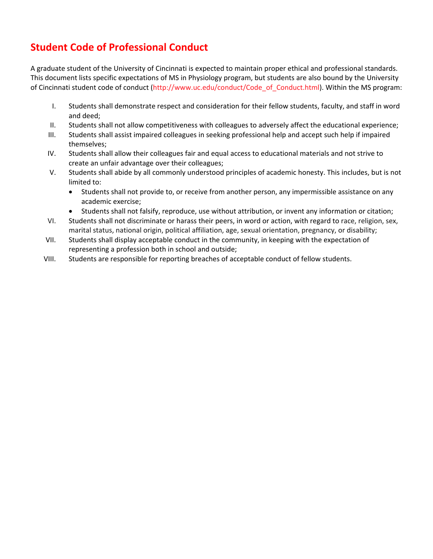## **Student Code of Professional Conduct**

A graduate student of the University of Cincinnati is expected to maintain proper ethical and professional standards. This document lists specific expectations of MS in Physiology program, but students are also bound by the University of Cincinnati student code of conduct (http://www.uc.edu/conduct/Code\_of\_Conduct.html). Within the MS program:

- I. Students shall demonstrate respect and consideration for their fellow students, faculty, and staff in word and deed;
- II. Students shall not allow competitiveness with colleagues to adversely affect the educational experience;
- III. Students shall assist impaired colleagues in seeking professional help and accept such help if impaired themselves;
- IV. Students shall allow their colleagues fair and equal access to educational materials and not strive to create an unfair advantage over their colleagues;
- V. Students shall abide by all commonly understood principles of academic honesty. This includes, but is not limited to:
	- Students shall not provide to, or receive from another person, any impermissible assistance on any academic exercise;
	- Students shall not falsify, reproduce, use without attribution, or invent any information or citation;
- VI. Students shall not discriminate or harass their peers, in word or action, with regard to race, religion, sex, marital status, national origin, political affiliation, age, sexual orientation, pregnancy, or disability;
- VII. Students shall display acceptable conduct in the community, in keeping with the expectation of representing a profession both in school and outside;
- VIII. Students are responsible for reporting breaches of acceptable conduct of fellow students.